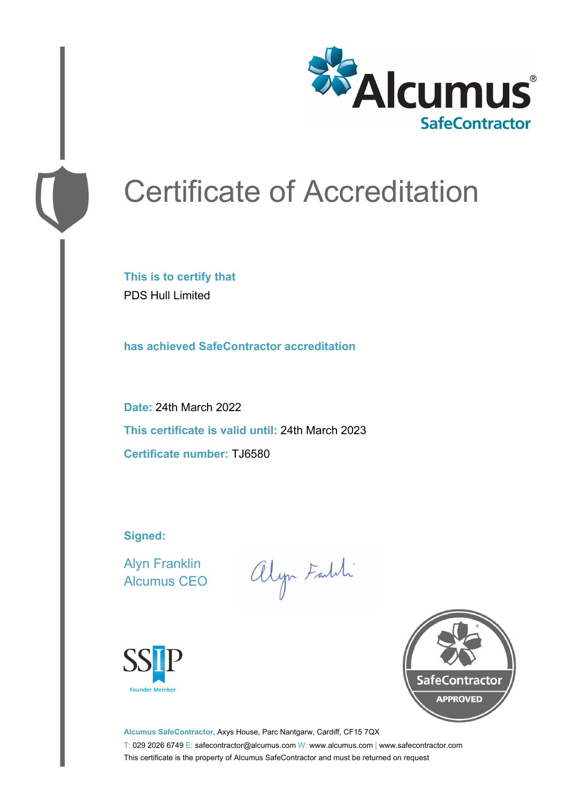

# Certificate of Accreditation

**This is to certify that** PDS Hull Limited

**has achieved SafeContractor accreditation**

**Date:** 24th March 2022 **This certificate is valid until:** 24th March 2023 **Certificate number:** TJ6580

**Signed:**

Alyn Franklin Alcumus CEO

alyn Faldi





**Alcumus SafeContractor,** Axys House, Parc Nantgarw, Cardiff, CF15 7QX T: 029 2026 6749 E: safecontractor@alcumus.com W: www.alcumus.com | www.safecontractor.com This certificate is the property of Alcumus SafeContractor and must be returned on request